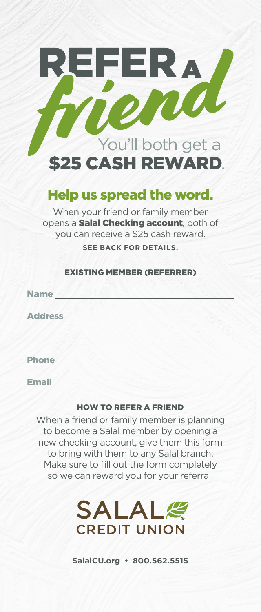

## Help us spread the word.

When your friend or family member opens a **Salal Checking account**, both of you can receive a \$25 cash reward. **SEE BACK FOR DETAILS.**

#### EXISTING MEMBER (REFERRER)

| <b>Name</b>    |  |  |
|----------------|--|--|
| <b>Address</b> |  |  |
|                |  |  |
| <b>Phone</b>   |  |  |

**Email** 

#### HOW TO REFER A FRIEND

When a friend or family member is planning to become a Salal member by opening a new checking account, give them this form to bring with them to any Salal branch. Make sure to fill out the form completely so we can reward you for your referral.



**SalalCU.org • 800.562.5515**